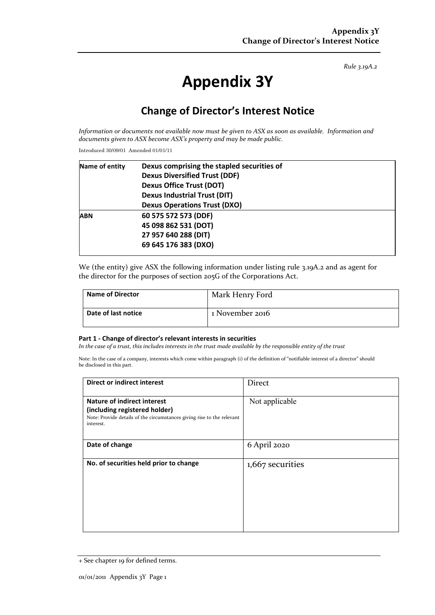*Rule 3.19A.2*

# **Appendix 3Y**

## **Change of Director's Interest Notice**

*Information or documents not available now must be given to ASX as soon as available. Information and documents given to ASX become ASX's property and may be made public.*

Introduced 30/09/01 Amended 01/01/11

| Name of entity | Dexus comprising the stapled securities of<br><b>Dexus Diversified Trust (DDF)</b><br><b>Dexus Office Trust (DOT)</b> |  |  |
|----------------|-----------------------------------------------------------------------------------------------------------------------|--|--|
|                |                                                                                                                       |  |  |
|                |                                                                                                                       |  |  |
|                | <b>Dexus Industrial Trust (DIT)</b>                                                                                   |  |  |
|                | <b>Dexus Operations Trust (DXO)</b>                                                                                   |  |  |
| <b>ABN</b>     | 60 575 572 573 (DDF)                                                                                                  |  |  |
|                | 45 098 862 531 (DOT)                                                                                                  |  |  |
|                | 27 957 640 288 (DIT)                                                                                                  |  |  |
|                | 69 645 176 383 (DXO)                                                                                                  |  |  |
|                |                                                                                                                       |  |  |

We (the entity) give ASX the following information under listing rule 3.19A.2 and as agent for the director for the purposes of section 205G of the Corporations Act.

| <b>Name of Director</b> | Mark Henry Ford |
|-------------------------|-----------------|
| Date of last notice     | 1 November 2016 |

#### **Part 1 - Change of director's relevant interests in securities**

*In the case of a trust, this includes interests in the trust made available by the responsible entity of the trust*

Note: In the case of a company, interests which come within paragraph (i) of the definition of "notifiable interest of a director" should be disclosed in this part.

| <b>Direct or indirect interest</b>                                                                                                                  | Direct           |
|-----------------------------------------------------------------------------------------------------------------------------------------------------|------------------|
| Nature of indirect interest<br>(including registered holder)<br>Note: Provide details of the circumstances giving rise to the relevant<br>interest. | Not applicable   |
| Date of change                                                                                                                                      | 6 April 2020     |
| No. of securities held prior to change                                                                                                              | 1,667 securities |

<sup>+</sup> See chapter 19 for defined terms.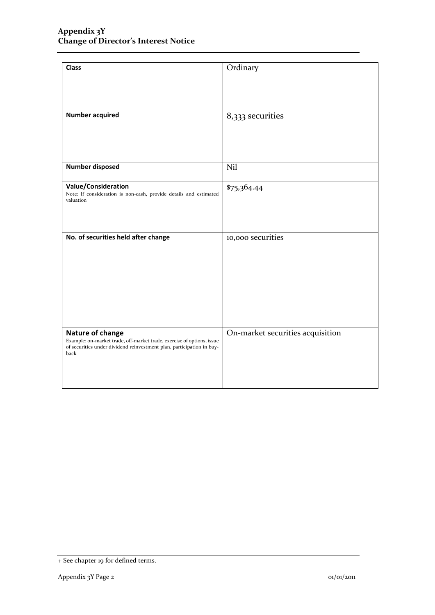| <b>Class</b>                                                                                                                                                                | Ordinary                         |
|-----------------------------------------------------------------------------------------------------------------------------------------------------------------------------|----------------------------------|
| <b>Number acquired</b>                                                                                                                                                      | 8,333 securities                 |
| <b>Number disposed</b>                                                                                                                                                      | Nil                              |
| Value/Consideration<br>Note: If consideration is non-cash, provide details and estimated<br>valuation                                                                       | \$75,364.44                      |
| No. of securities held after change                                                                                                                                         | 10,000 securities                |
| Nature of change<br>Example: on-market trade, off-market trade, exercise of options, issue<br>of securities under dividend reinvestment plan, participation in buy-<br>back | On-market securities acquisition |

<sup>+</sup> See chapter 19 for defined terms.